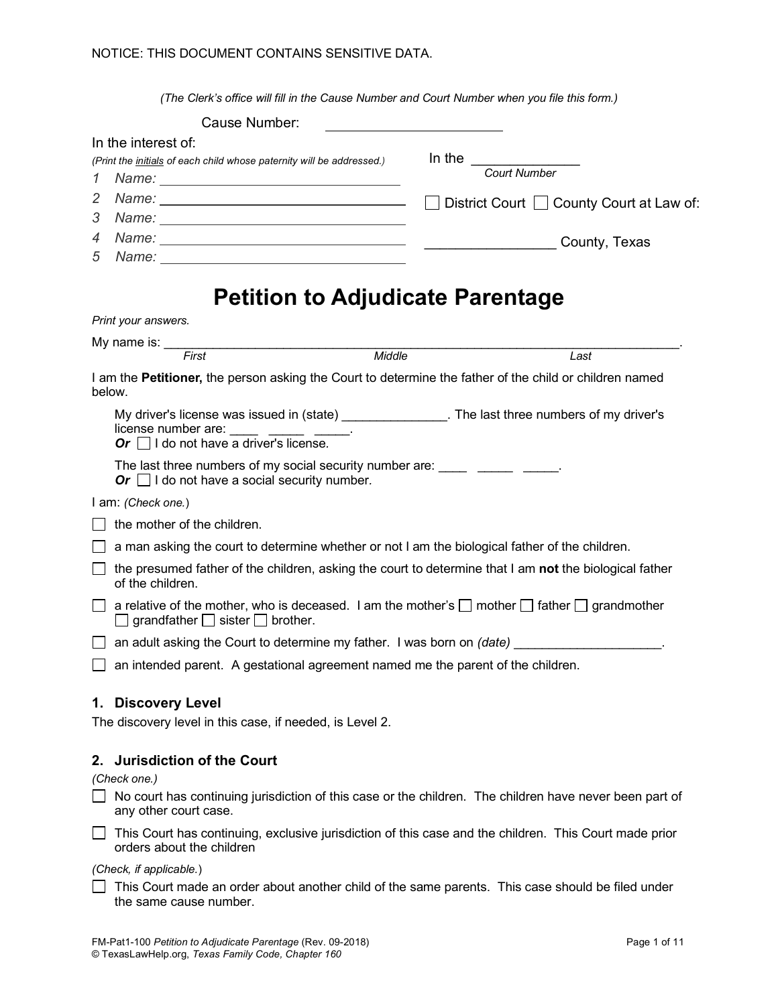*(The Clerk's office will fill in the Cause Number and Court Number when you file this form.)*

|                     | Cause Number:                                                                                                                                                                                                                                                  |                                                                                                        |
|---------------------|----------------------------------------------------------------------------------------------------------------------------------------------------------------------------------------------------------------------------------------------------------------|--------------------------------------------------------------------------------------------------------|
| In the interest of: |                                                                                                                                                                                                                                                                |                                                                                                        |
|                     | (Print the initials of each child whose paternity will be addressed.)                                                                                                                                                                                          | In the <u>Court Number</u>                                                                             |
| 1                   |                                                                                                                                                                                                                                                                |                                                                                                        |
| 2                   |                                                                                                                                                                                                                                                                | □ District Court □ County Court at Law of:                                                             |
| 3                   |                                                                                                                                                                                                                                                                |                                                                                                        |
| 4                   | Name: County, Texas                                                                                                                                                                                                                                            |                                                                                                        |
| 5                   |                                                                                                                                                                                                                                                                |                                                                                                        |
|                     | <b>Petition to Adjudicate Parentage</b>                                                                                                                                                                                                                        |                                                                                                        |
| Print your answers. |                                                                                                                                                                                                                                                                |                                                                                                        |
|                     | My name is: First Middle                                                                                                                                                                                                                                       |                                                                                                        |
|                     |                                                                                                                                                                                                                                                                | Last                                                                                                   |
| below.              | I am the Petitioner, the person asking the Court to determine the father of the child or children named                                                                                                                                                        |                                                                                                        |
|                     | My driver's license was issued in (state) ________________. The last three numbers of my driver's<br>license number are: $\frac{1}{\sqrt{1-\frac{1}{2}} \cdot \frac{1}{\sqrt{1-\frac{1}{2}} \cdot \frac{1}{2}}$<br>Or $\Box$ I do not have a driver's license. |                                                                                                        |
|                     | The last three numbers of my social security number are: _____ _____ _______.<br>Or $\Box$ I do not have a social security number.                                                                                                                             |                                                                                                        |
| I am: (Check one.)  |                                                                                                                                                                                                                                                                |                                                                                                        |
|                     | the mother of the children.                                                                                                                                                                                                                                    |                                                                                                        |
|                     | a man asking the court to determine whether or not I am the biological father of the children.                                                                                                                                                                 |                                                                                                        |
|                     | of the children.                                                                                                                                                                                                                                               | the presumed father of the children, asking the court to determine that I am not the biological father |
|                     | a relative of the mother, who is deceased. I am the mother's $\Box$ mother $\Box$ father $\Box$ grandmother<br>$\Box$ grandfather $\Box$ sister $\Box$ brother.                                                                                                |                                                                                                        |
|                     | an adult asking the Court to determine my father. I was born on (date) _____________________________                                                                                                                                                           |                                                                                                        |
|                     | an intended parent. A gestational agreement named me the parent of the children.                                                                                                                                                                               |                                                                                                        |
|                     | 1. Discovery Level                                                                                                                                                                                                                                             |                                                                                                        |
|                     | The discovery level in this case, if needed, is Level 2.                                                                                                                                                                                                       |                                                                                                        |
|                     | 2. Jurisdiction of the Court                                                                                                                                                                                                                                   |                                                                                                        |
| (Check one.)        |                                                                                                                                                                                                                                                                |                                                                                                        |
|                     | In the countries continuing initiation of this case on the objections. The objection have not                                                                                                                                                                  |                                                                                                        |

 $\Box$  No court has continuing jurisdiction of this case or the children. The children have never been part of any other court case.

This Court has continuing, exclusive jurisdiction of this case and the children. This Court made prior orders about the children

*(Check, if applicable.*)

 $\Box$  This Court made an order about another child of the same parents. This case should be filed under the same cause number.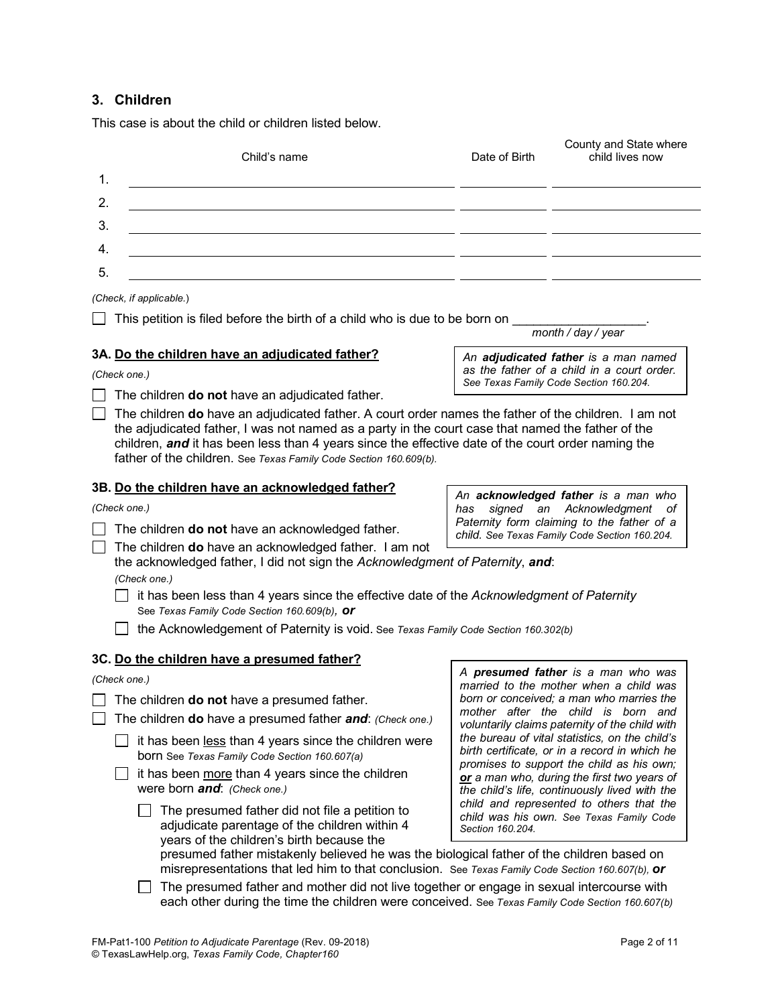This case is about the child or children listed below.

| This case is about the child or children listed below.                                                                                                                                                                                                                       |                                                                                                 |                                                                                              |  |  |
|------------------------------------------------------------------------------------------------------------------------------------------------------------------------------------------------------------------------------------------------------------------------------|-------------------------------------------------------------------------------------------------|----------------------------------------------------------------------------------------------|--|--|
| Child's name                                                                                                                                                                                                                                                                 | Date of Birth                                                                                   | County and State where<br>child lives now                                                    |  |  |
| 1.                                                                                                                                                                                                                                                                           |                                                                                                 |                                                                                              |  |  |
| 2.                                                                                                                                                                                                                                                                           |                                                                                                 |                                                                                              |  |  |
| 3.                                                                                                                                                                                                                                                                           |                                                                                                 |                                                                                              |  |  |
| 4.                                                                                                                                                                                                                                                                           |                                                                                                 |                                                                                              |  |  |
| 5.                                                                                                                                                                                                                                                                           |                                                                                                 |                                                                                              |  |  |
| (Check, if applicable.)                                                                                                                                                                                                                                                      |                                                                                                 |                                                                                              |  |  |
| This petition is filed before the birth of a child who is due to be born on                                                                                                                                                                                                  |                                                                                                 | month / day / year                                                                           |  |  |
| 3A. Do the children have an adjudicated father?                                                                                                                                                                                                                              |                                                                                                 | An adjudicated father is a man named                                                         |  |  |
| (Check one.)                                                                                                                                                                                                                                                                 |                                                                                                 | as the father of a child in a court order.<br>See Texas Family Code Section 160.204.         |  |  |
| The children do not have an adjudicated father.                                                                                                                                                                                                                              |                                                                                                 |                                                                                              |  |  |
| the adjudicated father, I was not named as a party in the court case that named the father of the<br>children, and it has been less than 4 years since the effective date of the court order naming the<br>father of the children. See Texas Family Code Section 160.609(b). |                                                                                                 |                                                                                              |  |  |
| 3B. Do the children have an acknowledged father?                                                                                                                                                                                                                             |                                                                                                 | An acknowledged father is a man who                                                          |  |  |
| (Check one.)                                                                                                                                                                                                                                                                 | has                                                                                             | signed an Acknowledgment of                                                                  |  |  |
| The children do not have an acknowledged father.                                                                                                                                                                                                                             | Paternity form claiming to the father of a<br>child. See Texas Family Code Section 160.204.     |                                                                                              |  |  |
| The children do have an acknowledged father. I am not<br>the acknowledged father, I did not sign the Acknowledgment of Paternity, and:<br>(Check one.)                                                                                                                       |                                                                                                 |                                                                                              |  |  |
| it has been less than 4 years since the effective date of the Acknowledgment of Paternity<br>See Texas Family Code Section 160.609(b), Or                                                                                                                                    |                                                                                                 |                                                                                              |  |  |
| the Acknowledgement of Paternity is void. See Texas Family Code Section 160.302(b)                                                                                                                                                                                           |                                                                                                 |                                                                                              |  |  |
| 3C. Do the children have a presumed father?                                                                                                                                                                                                                                  |                                                                                                 | A presumed father is a man who was                                                           |  |  |
| (Check one.)                                                                                                                                                                                                                                                                 |                                                                                                 | married to the mother when a child was                                                       |  |  |
| The children do not have a presumed father.                                                                                                                                                                                                                                  |                                                                                                 | born or conceived; a man who marries the<br>mother after the child is born and               |  |  |
| The children do have a presumed father and: (Check one.)                                                                                                                                                                                                                     |                                                                                                 | voluntarily claims paternity of the child with                                               |  |  |
| it has been less than 4 years since the children were<br>born See Texas Family Code Section 160.607(a)                                                                                                                                                                       | the bureau of vital statistics, on the child's<br>birth certificate, or in a record in which he | promises to support the child as his own;                                                    |  |  |
| it has been more than 4 years since the children<br>were born and: (Check one.)                                                                                                                                                                                              |                                                                                                 | or a man who, during the first two years of<br>the child's life, continuously lived with the |  |  |
| The presumed father did not file a petition to<br>adjudicate parentage of the children within 4<br>years of the children's birth because the<br>presumed father mistakenly believed he was the biological father of the children based on                                    | Section 160.204.                                                                                | child and represented to others that the<br>child was his own. See Texas Family Code         |  |  |
| misrepresentations that led him to that conclusion. See Texas Family Code Section 160.607(b), or                                                                                                                                                                             |                                                                                                 |                                                                                              |  |  |

The presumed father and mother did not live together or engage in sexual intercourse with each other during the time the children were conceived. See *Texas Family Code Section 160.607(b)*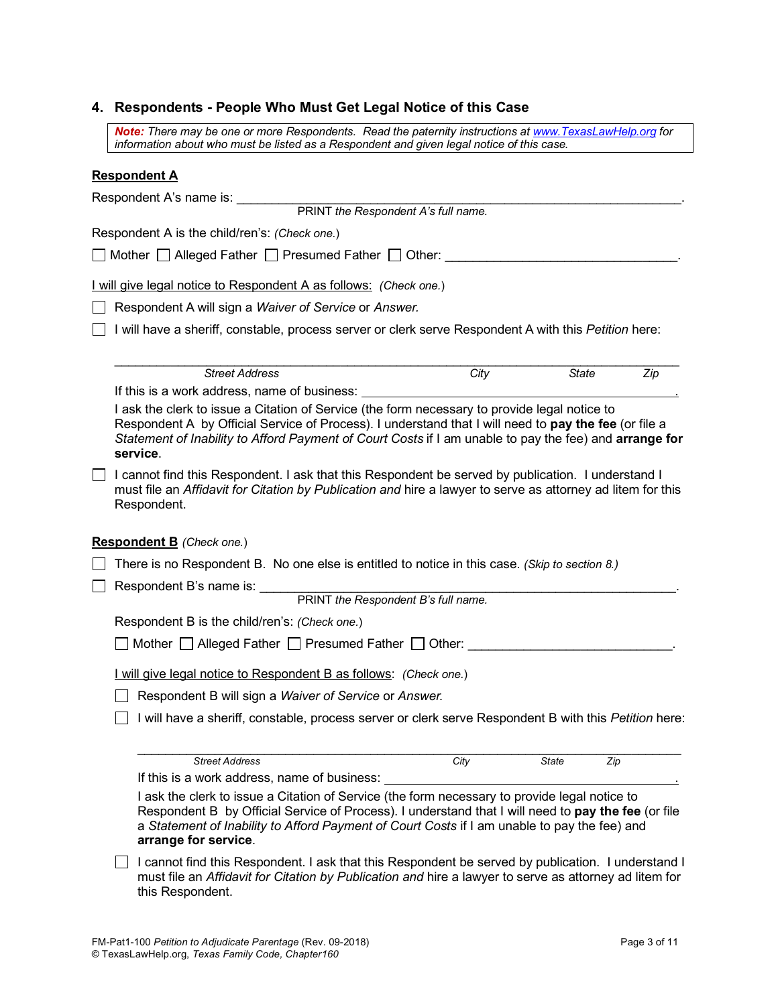# **4. Respondents - People Who Must Get Legal Notice of this Case**

*Note: There may be one or more Respondents. Read the paternity instructions at www.TexasLawHelp.org for information about who must be listed as a Respondent and given legal notice of this case.*

### **Respondent A**

|                                              |                                                                                                                                                                                                                                  | Respondent A's name is:                                                                                                                                                                                                                                                                                                      |  |  |
|----------------------------------------------|----------------------------------------------------------------------------------------------------------------------------------------------------------------------------------------------------------------------------------|------------------------------------------------------------------------------------------------------------------------------------------------------------------------------------------------------------------------------------------------------------------------------------------------------------------------------|--|--|
|                                              |                                                                                                                                                                                                                                  | PRINT the Respondent A's full name.                                                                                                                                                                                                                                                                                          |  |  |
|                                              |                                                                                                                                                                                                                                  | Respondent A is the child/ren's: (Check one.)                                                                                                                                                                                                                                                                                |  |  |
|                                              |                                                                                                                                                                                                                                  | □ Mother □ Alleged Father □ Presumed Father □ Other:                                                                                                                                                                                                                                                                         |  |  |
|                                              |                                                                                                                                                                                                                                  | I will give legal notice to Respondent A as follows: (Check one.)                                                                                                                                                                                                                                                            |  |  |
|                                              |                                                                                                                                                                                                                                  | Respondent A will sign a Waiver of Service or Answer.                                                                                                                                                                                                                                                                        |  |  |
|                                              |                                                                                                                                                                                                                                  | I will have a sheriff, constable, process server or clerk serve Respondent A with this Petition here:                                                                                                                                                                                                                        |  |  |
|                                              |                                                                                                                                                                                                                                  | <b>Street Address</b><br><b>State</b><br>City<br>Zip                                                                                                                                                                                                                                                                         |  |  |
|                                              |                                                                                                                                                                                                                                  | If this is a work address, name of business:                                                                                                                                                                                                                                                                                 |  |  |
|                                              |                                                                                                                                                                                                                                  | I ask the clerk to issue a Citation of Service (the form necessary to provide legal notice to<br>Respondent A by Official Service of Process). I understand that I will need to pay the fee (or file a<br>Statement of Inability to Afford Payment of Court Costs if I am unable to pay the fee) and arrange for<br>service. |  |  |
|                                              | I cannot find this Respondent. I ask that this Respondent be served by publication. I understand I<br>must file an Affidavit for Citation by Publication and hire a lawyer to serve as attorney ad litem for this<br>Respondent. |                                                                                                                                                                                                                                                                                                                              |  |  |
|                                              |                                                                                                                                                                                                                                  | <b>Respondent B</b> (Check one.)                                                                                                                                                                                                                                                                                             |  |  |
|                                              |                                                                                                                                                                                                                                  | There is no Respondent B. No one else is entitled to notice in this case. (Skip to section 8.)                                                                                                                                                                                                                               |  |  |
|                                              | Respondent B's name is:                                                                                                                                                                                                          |                                                                                                                                                                                                                                                                                                                              |  |  |
|                                              |                                                                                                                                                                                                                                  | PRINT the Respondent B's full name.                                                                                                                                                                                                                                                                                          |  |  |
|                                              |                                                                                                                                                                                                                                  | Respondent B is the child/ren's: (Check one.)                                                                                                                                                                                                                                                                                |  |  |
| Mother Alleged Father Presumed Father Other: |                                                                                                                                                                                                                                  |                                                                                                                                                                                                                                                                                                                              |  |  |
|                                              |                                                                                                                                                                                                                                  | I will give legal notice to Respondent B as follows: (Check one.)                                                                                                                                                                                                                                                            |  |  |
|                                              |                                                                                                                                                                                                                                  | Respondent B will sign a Waiver of Service or Answer.                                                                                                                                                                                                                                                                        |  |  |
|                                              |                                                                                                                                                                                                                                  | I will have a sheriff, constable, process server or clerk serve Respondent B with this Petition here:                                                                                                                                                                                                                        |  |  |
|                                              |                                                                                                                                                                                                                                  | <b>Street Address</b><br><b>State</b><br>City<br>Zip                                                                                                                                                                                                                                                                         |  |  |
|                                              |                                                                                                                                                                                                                                  | If this is a work address, name of business:                                                                                                                                                                                                                                                                                 |  |  |
|                                              |                                                                                                                                                                                                                                  | I ask the clerk to issue a Citation of Service (the form necessary to provide legal notice to<br>Respondent B by Official Service of Process). I understand that I will need to pay the fee (or file<br>a Statement of Inability to Afford Payment of Court Costs if I am unable to pay the fee) and<br>arrange for service. |  |  |
|                                              |                                                                                                                                                                                                                                  | I cannot find this Respondent. I ask that this Respondent be served by publication. I understand I<br>must file an Affidavit for Citation by Publication and hire a lawyer to serve as attorney ad litem for<br>this Respondent.                                                                                             |  |  |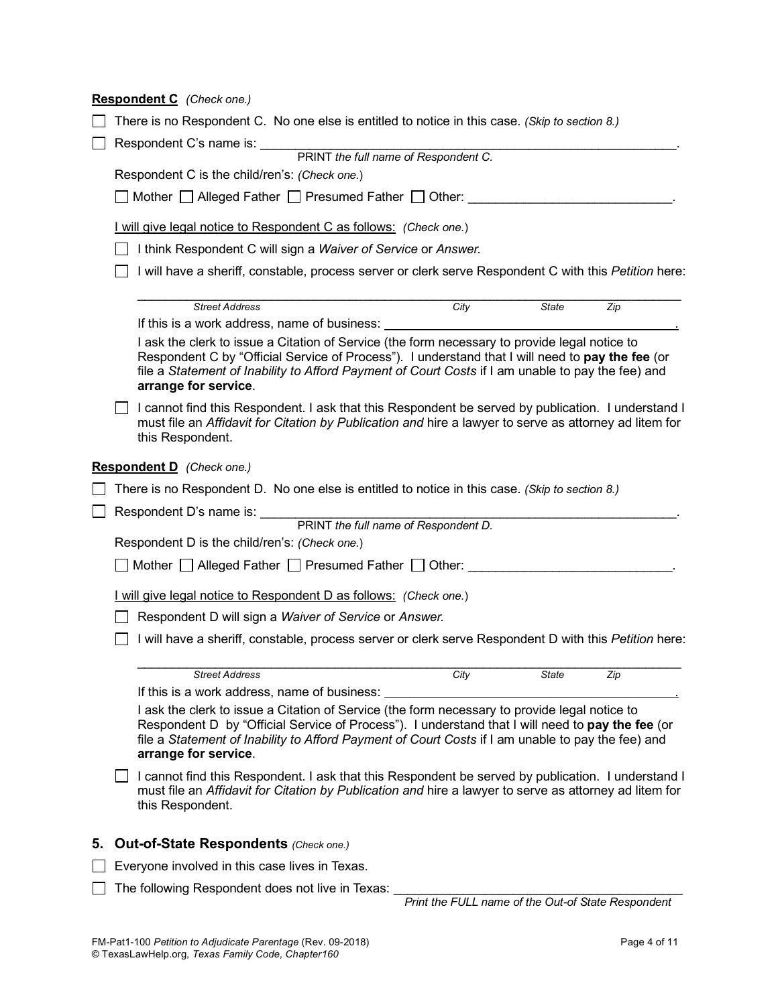|                                                                        |                                                                                                                                                                                                                                                                                                                                | Respondent C (Check one.)                                                                                                                                                                                                                                                                                                      |  |  |  |  |  |
|------------------------------------------------------------------------|--------------------------------------------------------------------------------------------------------------------------------------------------------------------------------------------------------------------------------------------------------------------------------------------------------------------------------|--------------------------------------------------------------------------------------------------------------------------------------------------------------------------------------------------------------------------------------------------------------------------------------------------------------------------------|--|--|--|--|--|
|                                                                        |                                                                                                                                                                                                                                                                                                                                | There is no Respondent C. No one else is entitled to notice in this case. (Skip to section 8.)                                                                                                                                                                                                                                 |  |  |  |  |  |
|                                                                        | Respondent C's name is: ____                                                                                                                                                                                                                                                                                                   |                                                                                                                                                                                                                                                                                                                                |  |  |  |  |  |
|                                                                        |                                                                                                                                                                                                                                                                                                                                | PRINT the full name of Respondent C.                                                                                                                                                                                                                                                                                           |  |  |  |  |  |
|                                                                        |                                                                                                                                                                                                                                                                                                                                | Respondent C is the child/ren's: (Check one.)                                                                                                                                                                                                                                                                                  |  |  |  |  |  |
|                                                                        | Mother $\Box$ Alleged Father $\Box$ Presumed Father $\Box$ Other:                                                                                                                                                                                                                                                              |                                                                                                                                                                                                                                                                                                                                |  |  |  |  |  |
|                                                                        | I will give legal notice to Respondent C as follows: (Check one.)                                                                                                                                                                                                                                                              |                                                                                                                                                                                                                                                                                                                                |  |  |  |  |  |
|                                                                        | I think Respondent C will sign a Waiver of Service or Answer.                                                                                                                                                                                                                                                                  |                                                                                                                                                                                                                                                                                                                                |  |  |  |  |  |
|                                                                        |                                                                                                                                                                                                                                                                                                                                | I will have a sheriff, constable, process server or clerk serve Respondent C with this Petition here:                                                                                                                                                                                                                          |  |  |  |  |  |
|                                                                        |                                                                                                                                                                                                                                                                                                                                | City<br><b>Street Address</b><br><b>State</b><br>Zip                                                                                                                                                                                                                                                                           |  |  |  |  |  |
|                                                                        |                                                                                                                                                                                                                                                                                                                                | If this is a work address, name of business:                                                                                                                                                                                                                                                                                   |  |  |  |  |  |
|                                                                        | I ask the clerk to issue a Citation of Service (the form necessary to provide legal notice to<br>Respondent C by "Official Service of Process"). I understand that I will need to pay the fee (or<br>file a Statement of Inability to Afford Payment of Court Costs if I am unable to pay the fee) and<br>arrange for service. |                                                                                                                                                                                                                                                                                                                                |  |  |  |  |  |
|                                                                        |                                                                                                                                                                                                                                                                                                                                | I cannot find this Respondent. I ask that this Respondent be served by publication. I understand I<br>must file an Affidavit for Citation by Publication and hire a lawyer to serve as attorney ad litem for<br>this Respondent.                                                                                               |  |  |  |  |  |
|                                                                        |                                                                                                                                                                                                                                                                                                                                | <b>Respondent D</b> (Check one.)                                                                                                                                                                                                                                                                                               |  |  |  |  |  |
|                                                                        |                                                                                                                                                                                                                                                                                                                                | There is no Respondent D. No one else is entitled to notice in this case. (Skip to section 8.)                                                                                                                                                                                                                                 |  |  |  |  |  |
|                                                                        |                                                                                                                                                                                                                                                                                                                                |                                                                                                                                                                                                                                                                                                                                |  |  |  |  |  |
| PRINT the full name of Respondent D.<br>Respondent D's name is: ______ |                                                                                                                                                                                                                                                                                                                                |                                                                                                                                                                                                                                                                                                                                |  |  |  |  |  |
|                                                                        |                                                                                                                                                                                                                                                                                                                                | Respondent D is the child/ren's: (Check one.)                                                                                                                                                                                                                                                                                  |  |  |  |  |  |
|                                                                        |                                                                                                                                                                                                                                                                                                                                | Mother $\Box$ Alleged Father $\Box$ Presumed Father $\Box$ Other:                                                                                                                                                                                                                                                              |  |  |  |  |  |
|                                                                        | I will give legal notice to Respondent D as follows: (Check one.)                                                                                                                                                                                                                                                              |                                                                                                                                                                                                                                                                                                                                |  |  |  |  |  |
|                                                                        |                                                                                                                                                                                                                                                                                                                                | Respondent D will sign a Waiver of Service or Answer.                                                                                                                                                                                                                                                                          |  |  |  |  |  |
|                                                                        |                                                                                                                                                                                                                                                                                                                                | I will have a sheriff, constable, process server or clerk serve Respondent D with this Petition here:                                                                                                                                                                                                                          |  |  |  |  |  |
|                                                                        |                                                                                                                                                                                                                                                                                                                                | <b>Street Address</b><br>City<br><b>State</b><br>Zip                                                                                                                                                                                                                                                                           |  |  |  |  |  |
|                                                                        |                                                                                                                                                                                                                                                                                                                                | If this is a work address, name of business:                                                                                                                                                                                                                                                                                   |  |  |  |  |  |
|                                                                        |                                                                                                                                                                                                                                                                                                                                | I ask the clerk to issue a Citation of Service (the form necessary to provide legal notice to<br>Respondent D by "Official Service of Process"). I understand that I will need to pay the fee (or<br>file a Statement of Inability to Afford Payment of Court Costs if I am unable to pay the fee) and<br>arrange for service. |  |  |  |  |  |
|                                                                        |                                                                                                                                                                                                                                                                                                                                | I cannot find this Respondent. I ask that this Respondent be served by publication. I understand I<br>must file an Affidavit for Citation by Publication and hire a lawyer to serve as attorney ad litem for<br>this Respondent.                                                                                               |  |  |  |  |  |
| 5.                                                                     |                                                                                                                                                                                                                                                                                                                                | <b>Out-of-State Respondents (Check one.)</b>                                                                                                                                                                                                                                                                                   |  |  |  |  |  |
|                                                                        |                                                                                                                                                                                                                                                                                                                                | Everyone involved in this case lives in Texas.                                                                                                                                                                                                                                                                                 |  |  |  |  |  |
|                                                                        |                                                                                                                                                                                                                                                                                                                                |                                                                                                                                                                                                                                                                                                                                |  |  |  |  |  |
|                                                                        |                                                                                                                                                                                                                                                                                                                                | The following Respondent does not live in Texas:                                                                                                                                                                                                                                                                               |  |  |  |  |  |

 *Print the FULL name of the Out-of State Respondent*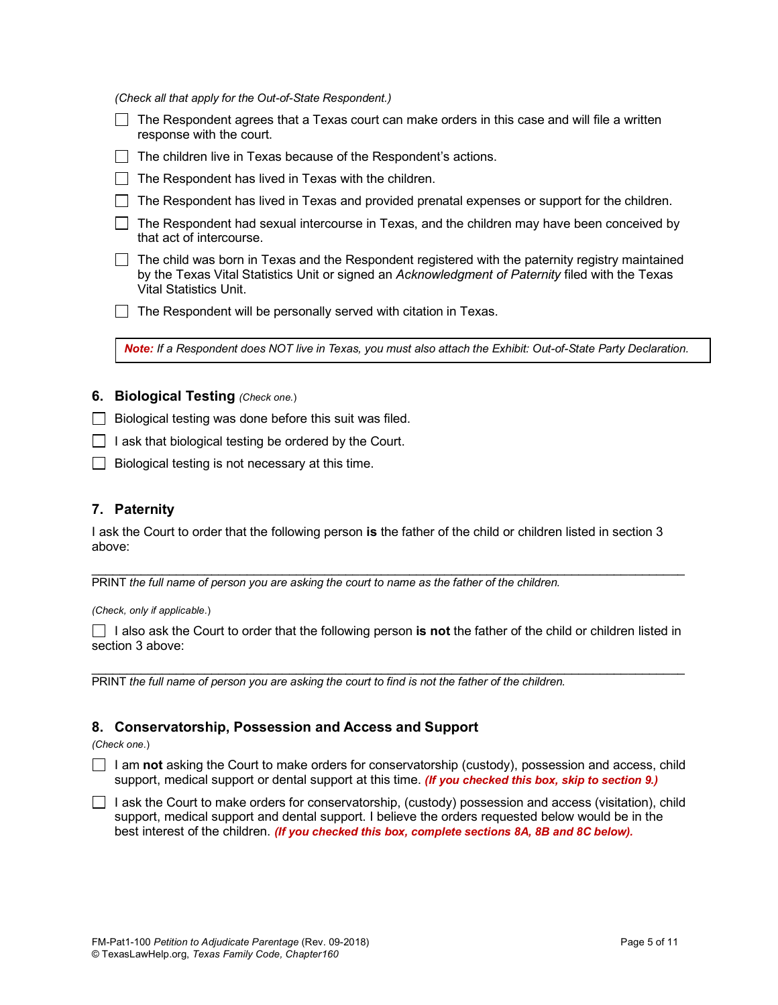*(Check all that apply for the Out-of-State Respondent.)*

| The Respondent agrees that a Texas court can make orders in this case and will file a written<br>response with the court. |
|---------------------------------------------------------------------------------------------------------------------------|
| The children live in Texas because of the Respondent's actions.                                                           |
| The Respondent has lived in Texas with the children.                                                                      |
| The Respondent has lived in Texas and provided prenatal expenses or support for the children.                             |
| The Respondent had sexual intercourse in Texas, and the children may have been conceived by<br>that act of intercourse.   |
| $\Box$ The child was born in Texas and the Respondent registered with the paternity registry maintained                   |

s porn in Texas and the Respondent registered with the paternity registry maintained by the Texas Vital Statistics Unit or signed an *Acknowledgment of Paternity* filed with the Texas Vital Statistics Unit.

The Respondent will be personally served with citation in Texas.

*Note: If a Respondent does NOT live in Texas, you must also attach the Exhibit: Out-of-State Party Declaration.*

## **6. Biological Testing** *(Check one.*)

- $\Box$  Biological testing was done before this suit was filed.
- $\Box$  I ask that biological testing be ordered by the Court.
- $\Box$  Biological testing is not necessary at this time.

# **7. Paternity**

I ask the Court to order that the following person **is** the father of the child or children listed in section 3 above:

PRINT the full name of person you are asking the court to name as the father of the children.

*(Check, only if applicable.*)

I also ask the Court to order that the following person **is not** the father of the child or children listed in section 3 above:

\_\_\_\_\_\_\_\_\_\_\_\_\_\_\_\_\_\_\_\_\_\_\_\_\_\_\_\_\_\_\_\_\_\_\_\_\_\_\_\_\_\_\_\_\_\_\_\_\_\_\_\_\_\_\_\_\_\_\_\_\_\_\_\_\_\_\_\_\_\_\_\_\_\_\_\_\_\_\_\_\_\_\_\_

\_\_\_\_\_\_\_\_\_\_\_\_\_\_\_\_\_\_\_\_\_\_\_\_\_\_\_\_\_\_\_\_\_\_\_\_\_\_\_\_\_\_\_\_\_\_\_\_\_\_\_\_\_\_\_\_\_\_\_\_\_\_\_\_\_\_\_\_\_\_\_\_\_\_\_\_\_\_\_\_\_\_\_\_

PRINT *the full name of person you are asking the court to find is not the father of the children.* 

# **8. Conservatorship, Possession and Access and Support**

*(Check one.*)

I am not asking the Court to make orders for conservatorship (custody), possession and access, child support, medical support or dental support at this time. *(If you checked this box, skip to section 9.)*

 $\Box$  I ask the Court to make orders for conservatorship, (custody) possession and access (visitation), child support, medical support and dental support. I believe the orders requested below would be in the best interest of the children. *(If you checked this box, complete sections 8A, 8B and 8C below).*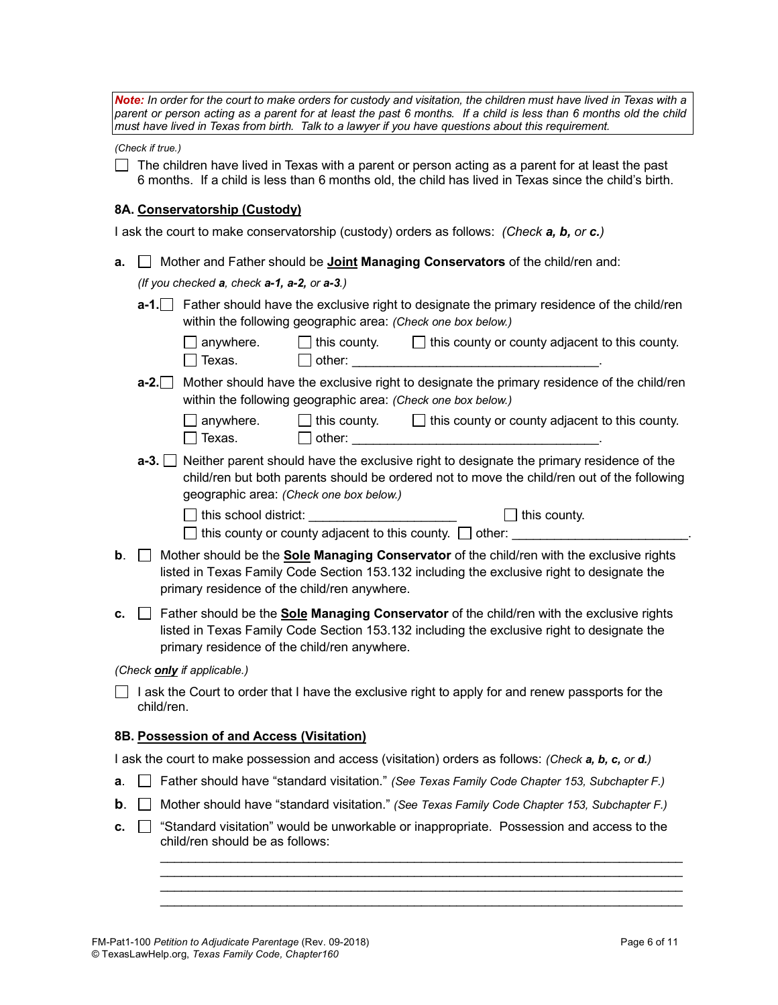*Note:* In order for the court to make orders for custody and visitation, the children must have lived in Texas with a *parent or person acting as a parent for at least the past 6 months. If a child is less than 6 months old the child must have lived in Texas from birth. Talk to a lawyer if you have questions about this requirement.*

*(Check if true.)*

 $\Box$  The children have lived in Texas with a parent or person acting as a parent for at least the past 6 months. If a child is less than 6 months old, the child has lived in Texas since the child's birth.

### **8A. Conservatorship (Custody)**

I ask the court to make conservatorship (custody) orders as follows: *(Check a, b, or c.)*

| a. | Mother and Father should be <b>Joint Managing Conservators</b> of the child/ren and: |                                           |                                                              |                                                                                                                                                                                                                |
|----|--------------------------------------------------------------------------------------|-------------------------------------------|--------------------------------------------------------------|----------------------------------------------------------------------------------------------------------------------------------------------------------------------------------------------------------------|
|    | (If you checked a, check a-1, a-2, or a-3.)                                          |                                           |                                                              |                                                                                                                                                                                                                |
|    | $a-1$ .                                                                              |                                           | within the following geographic area: (Check one box below.) | Father should have the exclusive right to designate the primary residence of the child/ren                                                                                                                     |
|    |                                                                                      | anywhere.<br>Texas.                       |                                                              | $\Box$ this county. $\Box$ this county or county adjacent to this county.<br>$\Box$ other:                                                                                                                     |
|    | $a-2.$                                                                               |                                           | within the following geographic area: (Check one box below.) | Mother should have the exclusive right to designate the primary residence of the child/ren                                                                                                                     |
|    |                                                                                      | $\Box$ anywhere.<br>$\square$ Texas.      |                                                              | $\Box$ this county. $\Box$ this county or county adjacent to this county.                                                                                                                                      |
|    | $a-3.$                                                                               |                                           | geographic area: (Check one box below.)                      | Neither parent should have the exclusive right to designate the primary residence of the<br>child/ren but both parents should be ordered not to move the child/ren out of the following<br>$\Box$ this county. |
|    |                                                                                      |                                           |                                                              |                                                                                                                                                                                                                |
| b. |                                                                                      |                                           |                                                              | this county or county adjacent to this county. $\Box$ other:                                                                                                                                                   |
|    |                                                                                      |                                           | primary residence of the child/ren anywhere.                 | Mother should be the <b>Sole Managing Conservator</b> of the child/ren with the exclusive rights<br>listed in Texas Family Code Section 153.132 including the exclusive right to designate the                 |
| c. |                                                                                      |                                           | primary residence of the child/ren anywhere.                 | Father should be the <b>Sole Managing Conservator</b> of the child/ren with the exclusive rights<br>listed in Texas Family Code Section 153.132 including the exclusive right to designate the                 |
|    |                                                                                      | (Check only if applicable.)               |                                                              |                                                                                                                                                                                                                |
|    | child/ren.                                                                           |                                           |                                                              | I ask the Court to order that I have the exclusive right to apply for and renew passports for the                                                                                                              |
|    |                                                                                      | 8B. Possession of and Access (Visitation) |                                                              |                                                                                                                                                                                                                |

- **a**. Father should have "standard visitation." *(See Texas Family Code Chapter 153, Subchapter F.)*
- **b**. Mother should have "standard visitation." *(See Texas Family Code Chapter 153, Subchapter F.)*
- **c.** "Standard visitation" would be unworkable or inappropriate. Possession and access to the child/ren should be as follows:

\_\_\_\_\_\_\_\_\_\_\_\_\_\_\_\_\_\_\_\_\_\_\_\_\_\_\_\_\_\_\_\_\_\_\_\_\_\_\_\_\_\_\_\_\_\_\_\_\_\_\_\_\_\_\_\_\_\_\_\_\_\_\_\_\_\_\_\_\_\_\_\_\_\_  $\mathcal{L}_\text{max}$  , and the state of the state of the state of the state of the state of the state of the state of the state of \_\_\_\_\_\_\_\_\_\_\_\_\_\_\_\_\_\_\_\_\_\_\_\_\_\_\_\_\_\_\_\_\_\_\_\_\_\_\_\_\_\_\_\_\_\_\_\_\_\_\_\_\_\_\_\_\_\_\_\_\_\_\_\_\_\_\_\_\_\_\_\_\_\_ \_\_\_\_\_\_\_\_\_\_\_\_\_\_\_\_\_\_\_\_\_\_\_\_\_\_\_\_\_\_\_\_\_\_\_\_\_\_\_\_\_\_\_\_\_\_\_\_\_\_\_\_\_\_\_\_\_\_\_\_\_\_\_\_\_\_\_\_\_\_\_\_\_\_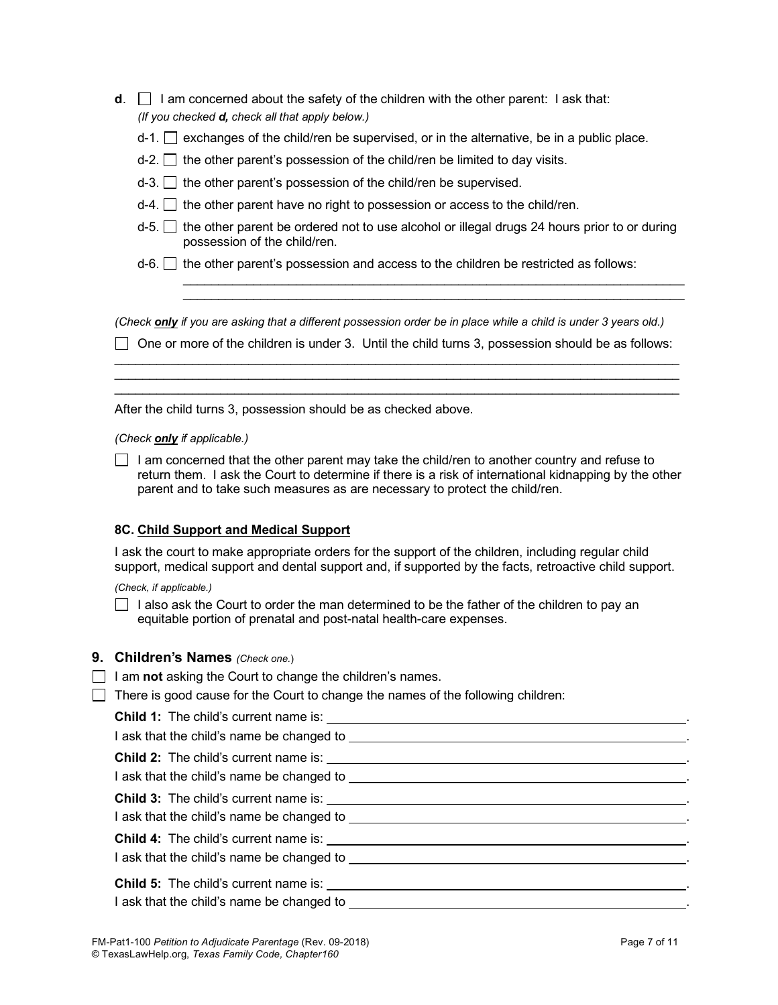| d. | I am concerned about the safety of the children with the other parent: I ask that:                                                         |
|----|--------------------------------------------------------------------------------------------------------------------------------------------|
|    | (If you checked <b>d</b> , check all that apply below.)                                                                                    |
|    | $d-1$ . $\Box$ exchanges of the child/ren be supervised, or in the alternative, be in a public place.                                      |
|    | $d-2$ . $\Box$ the other parent's possession of the child/ren be limited to day visits.                                                    |
|    | $d-3$ . the other parent's possession of the child/ren be supervised.                                                                      |
|    | $d-4$ . $\Box$ the other parent have no right to possession or access to the child/ren.                                                    |
|    | $d-5$ . $\Box$ the other parent be ordered not to use alcohol or illegal drugs 24 hours prior to or during<br>possession of the child/ren. |
|    | $d-6$ . $\Box$ the other parent's possession and access to the children be restricted as follows:                                          |
|    |                                                                                                                                            |

*(Check only if you are asking that a different possession order be in place while a child is under 3 years old.)*

 $\Box$  One or more of the children is under 3. Until the child turns 3, possession should be as follows: \_\_\_\_\_\_\_\_\_\_\_\_\_\_\_\_\_\_\_\_\_\_\_\_\_\_\_\_\_\_\_\_\_\_\_\_\_\_\_\_\_\_\_\_\_\_\_\_\_\_\_\_\_\_\_\_\_\_\_\_\_\_\_\_\_\_\_\_\_\_\_\_\_\_\_\_\_\_\_\_

\_\_\_\_\_\_\_\_\_\_\_\_\_\_\_\_\_\_\_\_\_\_\_\_\_\_\_\_\_\_\_\_\_\_\_\_\_\_\_\_\_\_\_\_\_\_\_\_\_\_\_\_\_\_\_\_\_\_\_\_\_\_\_\_\_\_\_\_\_\_\_\_\_\_\_\_\_\_\_\_  $\mathcal{L}_\mathcal{L} = \{ \mathcal{L}_\mathcal{L} = \{ \mathcal{L}_\mathcal{L} = \{ \mathcal{L}_\mathcal{L} = \{ \mathcal{L}_\mathcal{L} = \{ \mathcal{L}_\mathcal{L} = \{ \mathcal{L}_\mathcal{L} = \{ \mathcal{L}_\mathcal{L} = \{ \mathcal{L}_\mathcal{L} = \{ \mathcal{L}_\mathcal{L} = \{ \mathcal{L}_\mathcal{L} = \{ \mathcal{L}_\mathcal{L} = \{ \mathcal{L}_\mathcal{L} = \{ \mathcal{L}_\mathcal{L} = \{ \mathcal{L}_\mathcal{$ 

\_\_\_\_\_\_\_\_\_\_\_\_\_\_\_\_\_\_\_\_\_\_\_\_\_\_\_\_\_\_\_\_\_\_\_\_\_\_\_\_\_\_\_\_\_\_\_\_\_\_\_\_\_\_\_\_\_\_\_\_\_\_\_\_\_\_\_\_\_\_\_

After the child turns 3, possession should be as checked above.

*(Check only if applicable.)*

 $\Box$  I am concerned that the other parent may take the child/ren to another country and refuse to return them. I ask the Court to determine if there is a risk of international kidnapping by the other parent and to take such measures as are necessary to protect the child/ren.

## **8C. Child Support and Medical Support**

I ask the court to make appropriate orders for the support of the children, including regular child support, medical support and dental support and, if supported by the facts, retroactive child support.

*(Check, if applicable.)*

 $\Box$  I also ask the Court to order the man determined to be the father of the children to pay an equitable portion of prenatal and post-natal health-care expenses.

### **9. Children's Names** *(Check one.*)

- □ I am **not** asking the Court to change the children's names.
- $\Box$  There is good cause for the Court to change the names of the following children: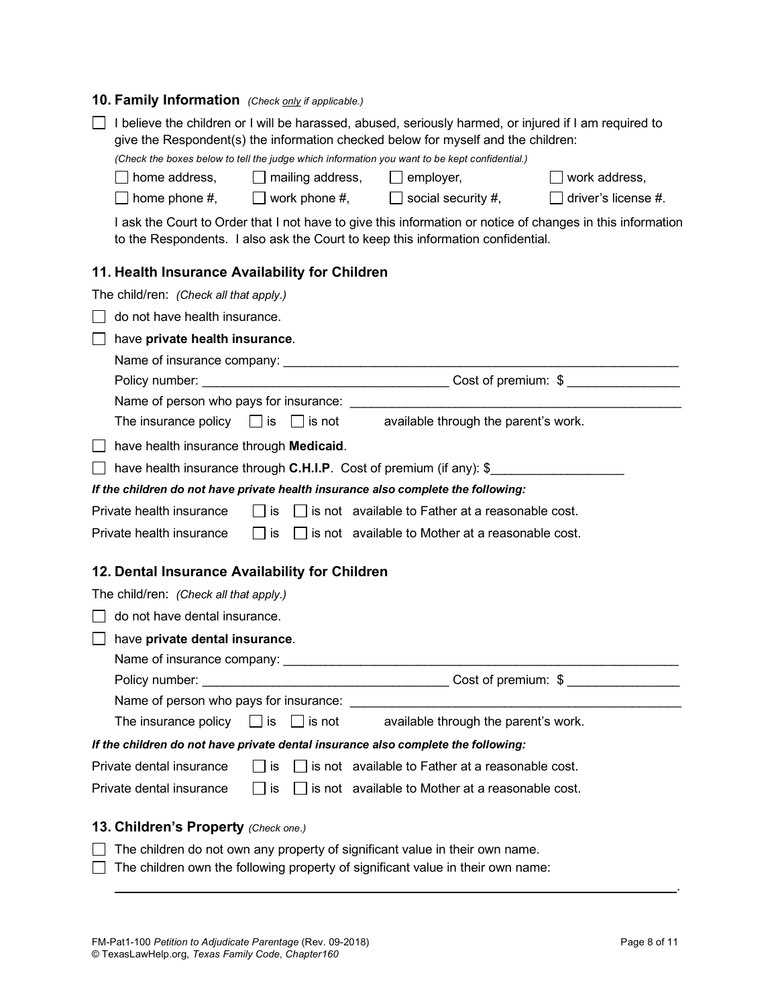# **10. Family Information** *(Check only if applicable.)*

| I believe the children or I will be harassed, abused, seriously harmed, or injured if I am required to<br>give the Respondent(s) the information checked below for myself and the children: |                                                                                                                                                                 |  |  |  |  |
|---------------------------------------------------------------------------------------------------------------------------------------------------------------------------------------------|-----------------------------------------------------------------------------------------------------------------------------------------------------------------|--|--|--|--|
| (Check the boxes below to tell the judge which information you want to be kept confidential.)                                                                                               |                                                                                                                                                                 |  |  |  |  |
| home address,<br>mailing address,                                                                                                                                                           | work address,<br>employer,                                                                                                                                      |  |  |  |  |
| $\Box$ home phone #,<br>$\Box$ work phone #,                                                                                                                                                | driver's license #.<br>$\Box$ social security #,                                                                                                                |  |  |  |  |
| to the Respondents. I also ask the Court to keep this information confidential.                                                                                                             | I ask the Court to Order that I not have to give this information or notice of changes in this information                                                      |  |  |  |  |
| 11. Health Insurance Availability for Children                                                                                                                                              |                                                                                                                                                                 |  |  |  |  |
| The child/ren: (Check all that apply.)                                                                                                                                                      |                                                                                                                                                                 |  |  |  |  |
| do not have health insurance.                                                                                                                                                               |                                                                                                                                                                 |  |  |  |  |
| have private health insurance.                                                                                                                                                              |                                                                                                                                                                 |  |  |  |  |
|                                                                                                                                                                                             |                                                                                                                                                                 |  |  |  |  |
|                                                                                                                                                                                             |                                                                                                                                                                 |  |  |  |  |
| Name of person who pays for insurance:                                                                                                                                                      |                                                                                                                                                                 |  |  |  |  |
| The insurance policy<br>$ $ is                                                                                                                                                              | $\Box$ is not available through the parent's work.                                                                                                              |  |  |  |  |
| have health insurance through Medicaid.                                                                                                                                                     |                                                                                                                                                                 |  |  |  |  |
| have health insurance through <b>C.H.I.P</b> . Cost of premium (if any): \$                                                                                                                 |                                                                                                                                                                 |  |  |  |  |
| If the children do not have private health insurance also complete the following:                                                                                                           |                                                                                                                                                                 |  |  |  |  |
| Private health insurance<br>∣ ∣is                                                                                                                                                           | $\Box$ is not available to Father at a reasonable cost.                                                                                                         |  |  |  |  |
| Private health insurance<br>∣ ∣is                                                                                                                                                           | $\Box$ is not available to Mother at a reasonable cost.                                                                                                         |  |  |  |  |
| 12. Dental Insurance Availability for Children                                                                                                                                              |                                                                                                                                                                 |  |  |  |  |
| The child/ren: (Check all that apply.)                                                                                                                                                      |                                                                                                                                                                 |  |  |  |  |
| do not have dental insurance.                                                                                                                                                               |                                                                                                                                                                 |  |  |  |  |
| have private dental insurance.                                                                                                                                                              |                                                                                                                                                                 |  |  |  |  |
| Name of insurance company:                                                                                                                                                                  |                                                                                                                                                                 |  |  |  |  |
| Policy number:                                                                                                                                                                              | Cost of premium: \$                                                                                                                                             |  |  |  |  |
| Name of person who pays for insurance:                                                                                                                                                      |                                                                                                                                                                 |  |  |  |  |
| The insurance policy<br>$\Box$ is not<br>$\Box$ is                                                                                                                                          | available through the parent's work.                                                                                                                            |  |  |  |  |
| If the children do not have private dental insurance also complete the following:                                                                                                           |                                                                                                                                                                 |  |  |  |  |
| Private dental insurance<br>is                                                                                                                                                              | $\Box$ is not available to Father at a reasonable cost.                                                                                                         |  |  |  |  |
| Private dental insurance<br>is                                                                                                                                                              | $\Box$ is not available to Mother at a reasonable cost.                                                                                                         |  |  |  |  |
| 13. Children's Property (Check one.)                                                                                                                                                        |                                                                                                                                                                 |  |  |  |  |
|                                                                                                                                                                                             |                                                                                                                                                                 |  |  |  |  |
|                                                                                                                                                                                             | The children do not own any property of significant value in their own name.<br>The children own the following property of significant value in their own name: |  |  |  |  |
|                                                                                                                                                                                             |                                                                                                                                                                 |  |  |  |  |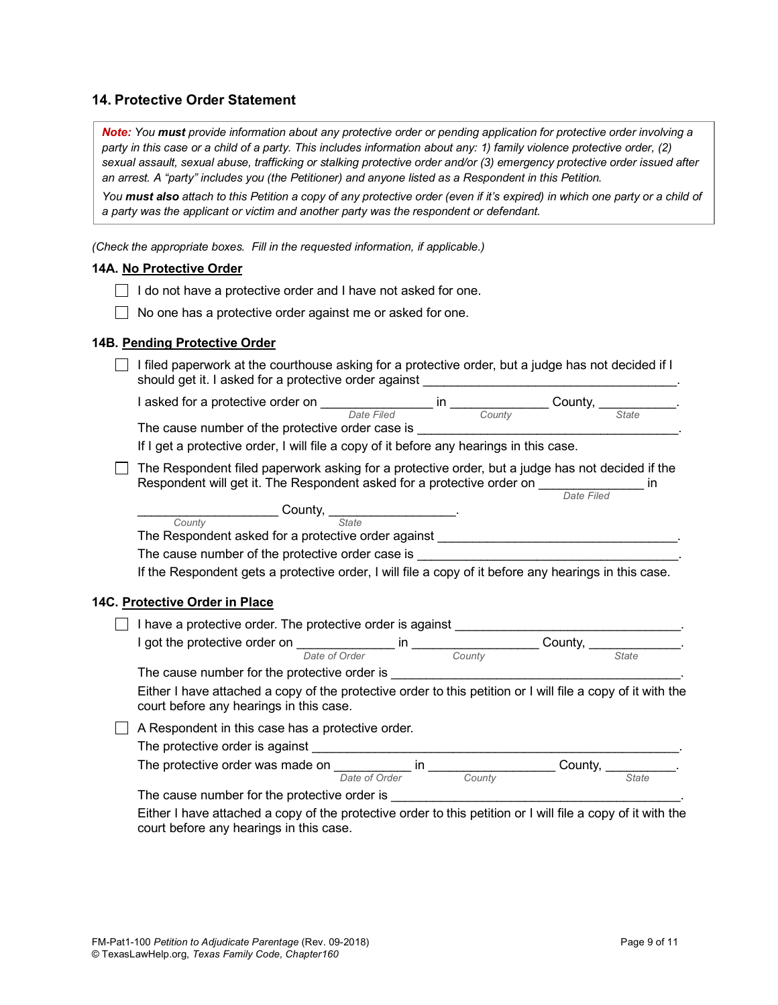# **14. Protective Order Statement**

*Note: You must provide information about any protective order or pending application for protective order involving a party in this case or a child of a party. This includes information about any: 1) family violence protective order, (2) sexual assault, sexual abuse, trafficking or stalking protective order and/or (3) emergency protective order issued after an arrest. A "party" includes you (the Petitioner) and anyone listed as a Respondent in this Petition.*

*You must also attach to this Petition a copy of any protective order (even if it's expired) in which one party or a child of a party was the applicant or victim and another party was the respondent or defendant.* 

*(Check the appropriate boxes. Fill in the requested information, if applicable.)*

### **14A. No Protective Order**

- $\Box$  I do not have a protective order and I have not asked for one.
- $\Box$  No one has a protective order against me or asked for one.

#### **14B. Pending Protective Order**

 $\Box$  I filed paperwork at the courthouse asking for a protective order, but a judge has not decided if I should get it. I asked for a protective order against

*In County* County, <u>County</u>

I asked for a protective order on  $\frac{1}{\text{Date Field}}$  in  $\frac{1}{\text{County}}$  County,  $\frac{1}{\text{State}}$ 

The cause number of the protective order case is

If I get a protective order, I will file a copy of it before any hearings in this case.

 $\Box$  The Respondent filed paperwork asking for a protective order, but a judge has not decided if the Respondent will get it. The Respondent asked for a protective order on \_\_\_\_\_\_\_\_\_\_\_\_\_\_\_\_\_\_ in

| County, $\frac{1}{2}$                                                                                                                                  |    |        |                                                                  |  |
|--------------------------------------------------------------------------------------------------------------------------------------------------------|----|--------|------------------------------------------------------------------|--|
| County<br><b>State</b>                                                                                                                                 |    |        |                                                                  |  |
| The Respondent asked for a protective order against                                                                                                    |    |        |                                                                  |  |
| The cause number of the protective order case is                                                                                                       |    |        |                                                                  |  |
| If the Respondent gets a protective order, I will file a copy of it before any hearings in this case.                                                  |    |        |                                                                  |  |
|                                                                                                                                                        |    |        |                                                                  |  |
| 14C. Protective Order in Place                                                                                                                         |    |        |                                                                  |  |
| I have a protective order. The protective order is against                                                                                             |    |        |                                                                  |  |
|                                                                                                                                                        |    |        | County, $\frac{1}{\sqrt{1-\frac{1}{2}}}\left[\frac{1}{2}\right]$ |  |
| Date of Order                                                                                                                                          |    | County | <b>State</b>                                                     |  |
| The cause number for the protective order is                                                                                                           |    |        |                                                                  |  |
| Either I have attached a copy of the protective order to this petition or I will file a copy of it with the<br>court before any hearings in this case. |    |        |                                                                  |  |
| A Respondent in this case has a protective order.                                                                                                      |    |        |                                                                  |  |
| The protective order is against                                                                                                                        |    |        |                                                                  |  |
|                                                                                                                                                        |    |        |                                                                  |  |
| The protective order was made on                                                                                                                       | ın |        | Countv.                                                          |  |

| The protective order was made on |               |               | Count∨ |       |
|----------------------------------|---------------|---------------|--------|-------|
|                                  | Date of Order | <i>Sounty</i> |        | State |

The cause number for the protective order is \_\_\_\_\_\_\_\_\_\_\_\_\_\_\_\_\_\_\_\_\_\_\_\_\_\_\_\_\_\_\_\_\_\_\_\_\_\_\_\_\_.

Either I have attached a copy of the protective order to this petition or I will file a copy of it with the court before any hearings in this case.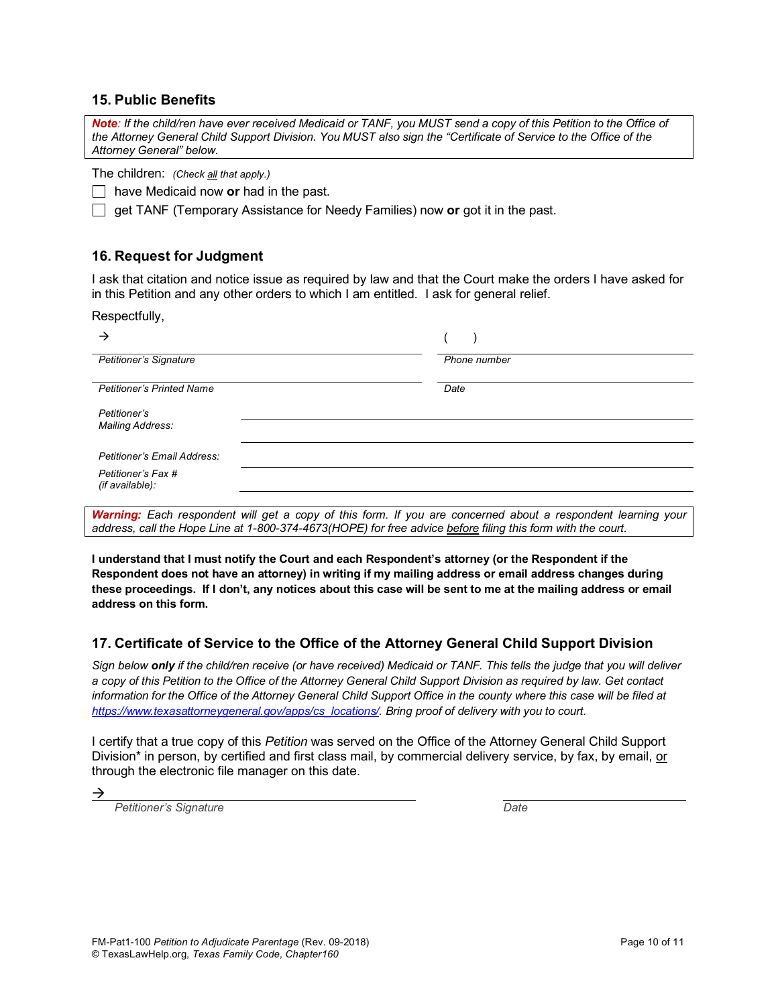## **15. Public Benefits**

*Note: If the child/ren have ever received Medicaid or TANF, you MUST send a copy of this Petition to the Office of the Attorney General Child Support Division. You MUST also sign the "Certificate of Service to the Office of the Attorney General" below.*

The children: *(Check all that apply.)*

have Medicaid now **or** had in the past.

get TANF (Temporary Assistance for Needy Families) now **or** got it in the past.

# **16. Request for Judgment**

I ask that citation and notice issue as required by law and that the Court make the orders I have asked for in this Petition and any other orders to which I am entitled. I ask for general relief.

Respectfully,

| →                                     |                                                                                                                                                                                                                                       |
|---------------------------------------|---------------------------------------------------------------------------------------------------------------------------------------------------------------------------------------------------------------------------------------|
| Petitioner's Signature                | Phone number                                                                                                                                                                                                                          |
| <b>Petitioner's Printed Name</b>      | Date                                                                                                                                                                                                                                  |
| Petitioner's<br>Mailing Address:      |                                                                                                                                                                                                                                       |
| Petitioner's Email Address:           |                                                                                                                                                                                                                                       |
| Petitioner's Fax #<br>(if available): |                                                                                                                                                                                                                                       |
| $\cdots$ . $\cdots$<br>.              | $\mathbf{r}$ , and the set of the set of the set of the set of the set of the set of the set of the set of the set of the set of the set of the set of the set of the set of the set of the set of the set of the set of the set<br>. |

*Warning: Each respondent will get a copy of this form. If you are concerned about a respondent learning your address, call the Hope Line at 1-800-374-4673(HOPE) for free advice before filing this form with the court.* 

**I understand that I must notify the Court and each Respondent's attorney (or the Respondent if the Respondent does not have an attorney) in writing if my mailing address or email address changes during these proceedings. If I don't, any notices about this case will be sent to me at the mailing address or email address on this form.**

# **17. Certificate of Service to the Office of the Attorney General Child Support Division**

*Sign below only if the child/ren receive (or have received) Medicaid or TANF. This tells the judge that you will deliver a copy of this Petition to the Office of the Attorney General Child Support Division as required by law. Get contact information for the Office of the Attorney General Child Support Office in the county where this case will be filed at https://www.texasattorneygeneral.gov/apps/cs\_locations/. Bring proof of delivery with you to court.*

I certify that a true copy of this *Petition* was served on the Office of the Attorney General Child Support Division\* in person, by certified and first class mail, by commercial delivery service, by fax, by email, or through the electronic file manager on this date.

*Petitioner's Signature Date*